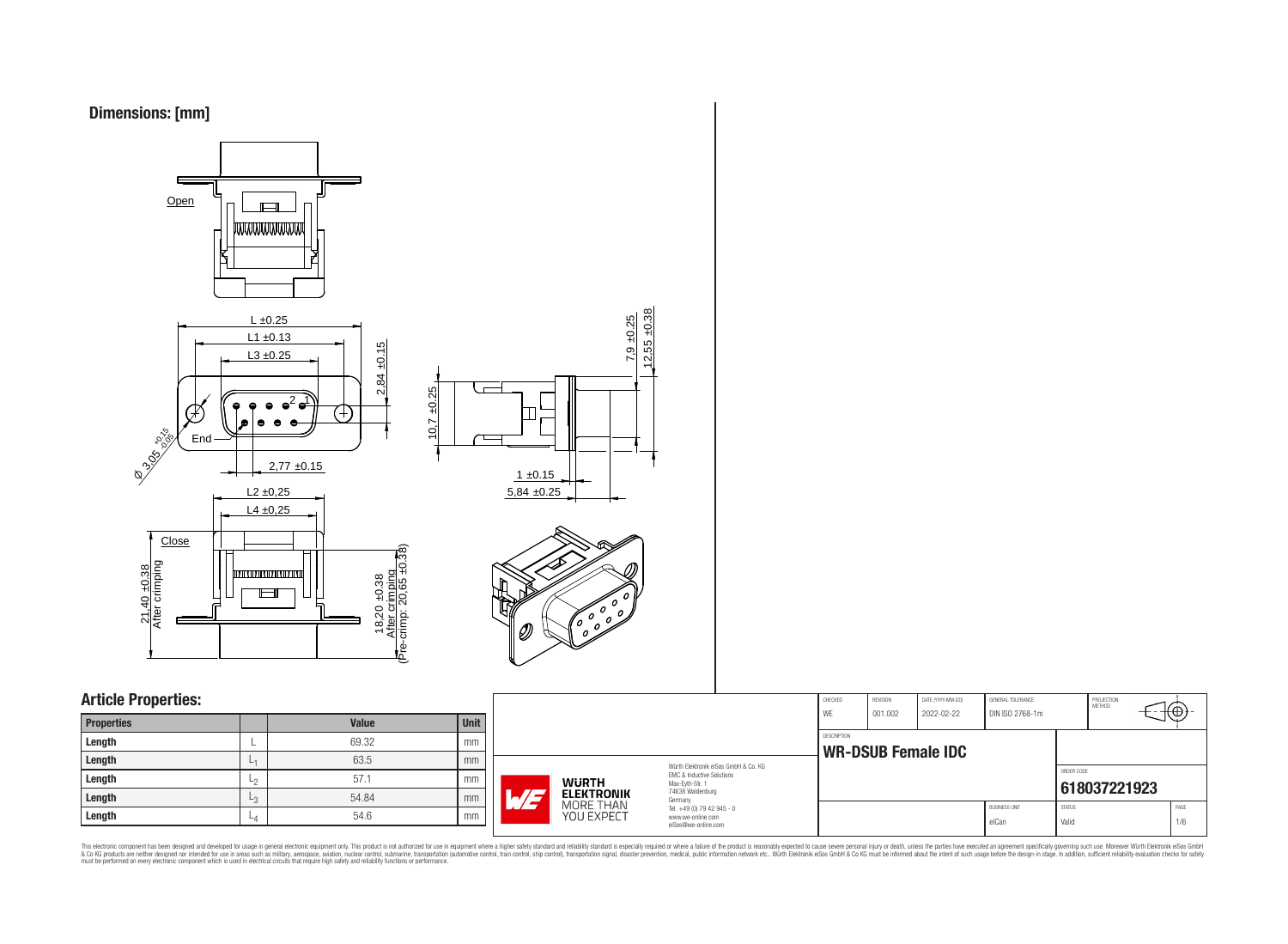



## **Article Properties:**

| <b>Properties</b> |                | <b>Value</b> | <b>Unit</b> |
|-------------------|----------------|--------------|-------------|
| Length            |                | 69.32        | mm          |
| Length            | L <sub>1</sub> | 63.5         | mm          |
| Length            | L <sub>2</sub> | 57.1         | mm          |
| Length            | L3             | 54.84        | mm          |
| Length            | $-4$           | 54.6         | mm          |

|                                   |                                                                                                                     | CHECKED<br>WE | REVISION<br>001.002       | DATE (YYYY-MM-DD)<br>2022-02-22 | GENERAL TOLERANCE<br>DIN ISO 2768-1m |                        | PROJECTION<br>METHOD | ťΦ          |
|-----------------------------------|---------------------------------------------------------------------------------------------------------------------|---------------|---------------------------|---------------------------------|--------------------------------------|------------------------|----------------------|-------------|
|                                   | DESCRIPTION                                                                                                         |               | <b>WR-DSUB Female IDC</b> |                                 |                                      |                        |                      |             |
| <b>WURTH</b><br><b>ELEKTRONIK</b> | Würth Elektronik eiSos GmbH & Co. KG<br>FMC & Inductive Solutions<br>Max-Evth-Str. 1<br>74638 Waldenburg<br>Germany |               |                           |                                 |                                      | ORDER CODE             | 618037221923         |             |
| MORE THAN<br>YOU EXPECT           | Tel. +49 (0) 79 42 945 - 0<br>www.we-online.com<br>eiSos@we-online.com                                              |               |                           |                                 | <b>BUSINESS UNIT</b><br>eiCan        | <b>STATUS</b><br>Valid |                      | PAGE<br>1/6 |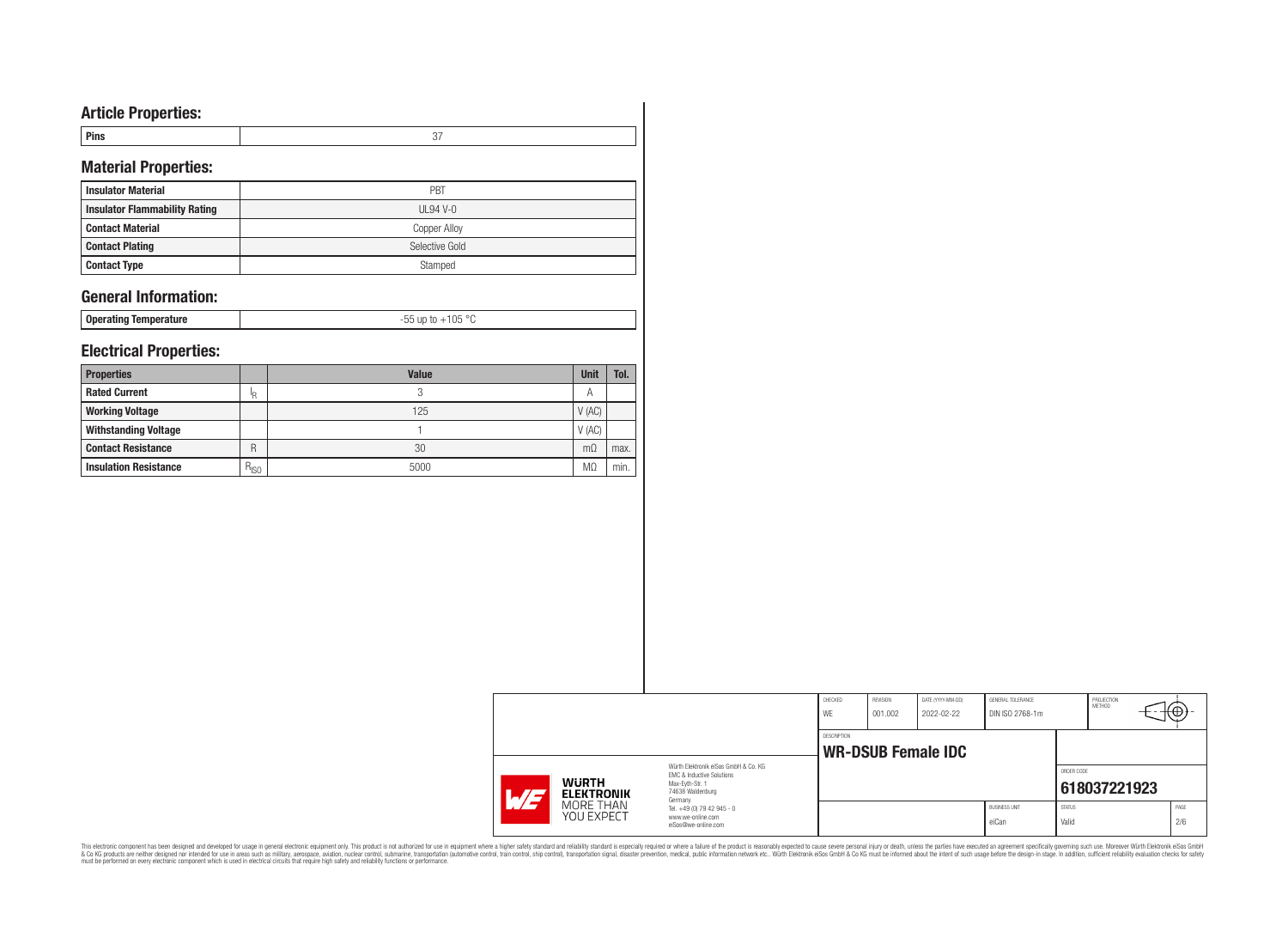# **Article Properties:**

| пвэ |  |
|-----|--|
|     |  |

# **Material Properties:**

| <b>Insulator Material</b>            | PBT            |
|--------------------------------------|----------------|
| <b>Insulator Flammability Rating</b> | UL94 V-0       |
| <b>Contact Material</b>              | Copper Alloy   |
| <b>Contact Plating</b>               | Selective Gold |
| <b>Contact Type</b>                  | Stamped        |

## **General Information:**

**Operating Temperature** -55 up to +105 °C

## **Electrical Properties:**

| <b>Properties</b>            |           | <b>Value</b> | <b>Unit</b> | Tol. |
|------------------------------|-----------|--------------|-------------|------|
| <b>Rated Current</b>         | ΙR        | ↷            | Α           |      |
| <b>Working Voltage</b>       |           | 125          | V(AC)       |      |
| <b>Withstanding Voltage</b>  |           |              | V(AC)       |      |
| <b>Contact Resistance</b>    | R         | 30           | $m\Omega$   | max. |
| <b>Insulation Resistance</b> | $R_{ISO}$ | 5000         | MΩ          | min. |

|                                            |                                                | CHECKED<br>WE      | REVISION<br>001.002 | DATE (YYYY-MM-DD)<br>2022-02-22 | GENERAL TOLERANCE<br>DIN ISO 2768-1m |               | PROJECTION<br>METHOD | ťΨ   |
|--------------------------------------------|------------------------------------------------|--------------------|---------------------|---------------------------------|--------------------------------------|---------------|----------------------|------|
|                                            |                                                | <b>DESCRIPTION</b> |                     |                                 |                                      |               |                      |      |
|                                            | Würth Elektronik eiSos GmbH & Co. KG           |                    |                     | <b>WR-DSUB Female IDC</b>       |                                      |               |                      |      |
|                                            | EMC & Inductive Solutions                      |                    |                     |                                 |                                      | ORDER CODE    |                      |      |
| <b>WURTH</b><br><b>ELEKTRONIK</b><br>W / 2 | Max-Eyth-Str. 1<br>74638 Waldenburg<br>Germany |                    |                     |                                 |                                      |               | 618037221923         |      |
| MORE THAN                                  | Tel. +49 (0) 79 42 945 - 0                     |                    |                     |                                 | <b>BUSINESS UNIT</b>                 | <b>STATUS</b> |                      | PAGE |
| <b>YOU EXPECT</b>                          | www.we-online.com<br>eiSos@we-online.com       |                    |                     |                                 | eiCan                                | Valid         |                      | 2/6  |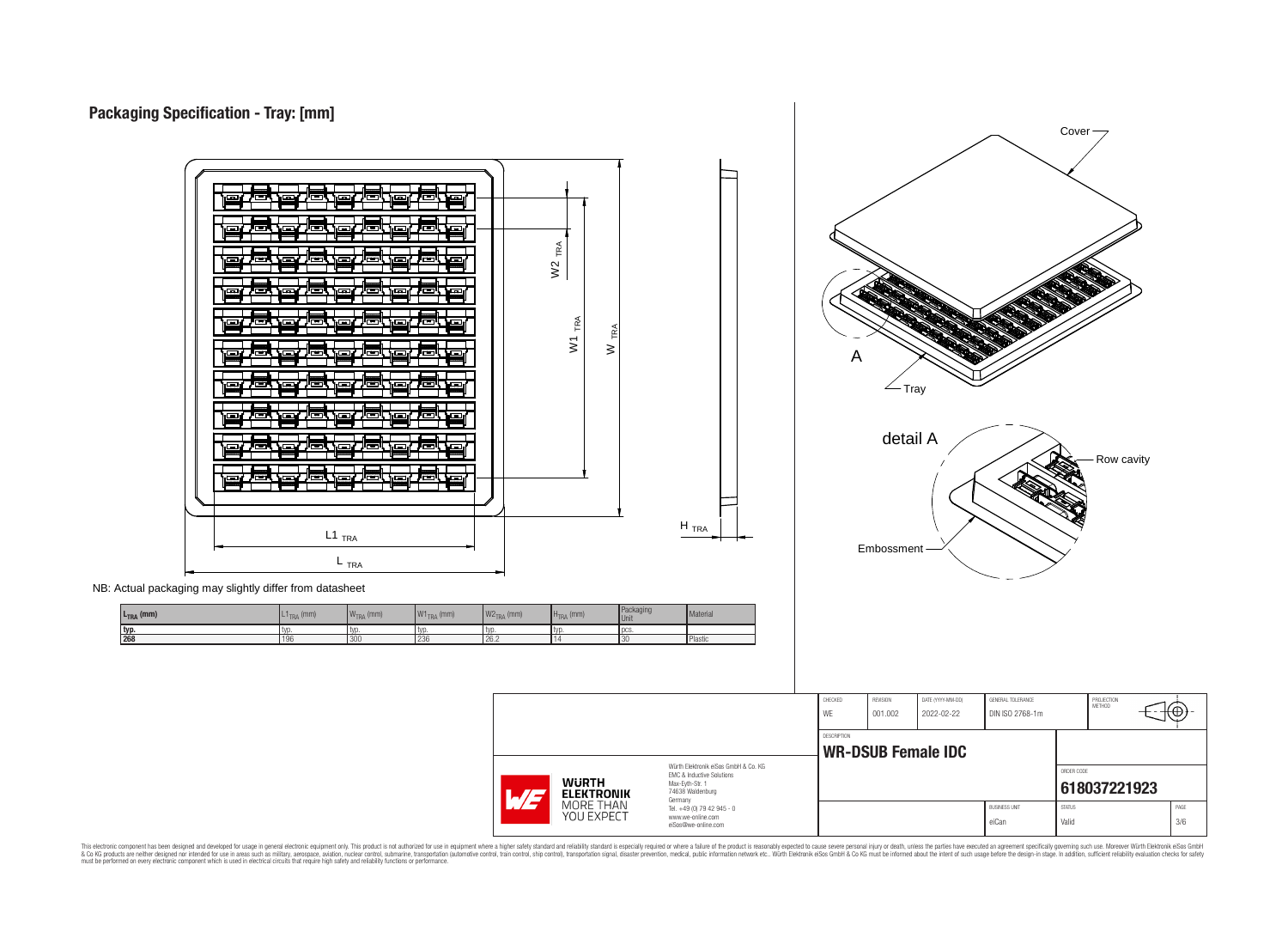



 $L_{\text{TRA}}$  (mm)  $W_{\text{TRA}}$  (mm)  $W_{\text{TRA}}$  (mm)  $W_{\text{TRA}}$  (mm)  $W_{\text{TRA}}$  (mm)  $H_{\text{TRA}}$  (mm)  $H_{\text{HA}}$  (mm)  $W_{\text{TRA}}$ 

| L <sub>TRA</sub> (mm) | $T_{\text{TRA}}$ (mm) | <b>IVA</b><br>$WTRA$ (mm) | $W1_{TRA}$ (mm) | $W2_{TRA}$ (mm) | $H_{\text{TRA}}$ (mm) | $\mathbf{I}$ averaging<br>Unit | <b>Material</b> |
|-----------------------|-----------------------|---------------------------|-----------------|-----------------|-----------------------|--------------------------------|-----------------|
| typ.                  | LV U                  | <b>IVD</b>                | i tvo           | -LVI.           | I tvo                 | $\mathbf{H} \mathbf{A}$        |                 |
| 268                   | 196                   | 300                       | I 230           | 26.2            |                       | 13U                            | Plastic         |
|                       |                       |                           |                 |                 |                       |                                |                 |

|                                         |                                                                              | CHECKED<br>WE | REVISION<br>001.002 | DATE (YYYY-MM-DD)<br>2022-02-22 | GENERAL TOLERANCE<br>DIN ISO 2768-1m |               | PROJECTION<br>METHOD | ťΨ   |
|-----------------------------------------|------------------------------------------------------------------------------|---------------|---------------------|---------------------------------|--------------------------------------|---------------|----------------------|------|
|                                         |                                                                              | DESCRIPTION   |                     |                                 |                                      |               |                      |      |
|                                         |                                                                              |               |                     | WR-DSUB Female IDC              |                                      |               |                      |      |
|                                         | Würth Elektronik eiSos GmbH & Co. KG<br><b>EMC &amp; Inductive Solutions</b> |               |                     |                                 |                                      | ORDER CODE    |                      |      |
| <b>WURTH</b><br>AT<br><b>ELEKTRONIK</b> | Max-Eyth-Str. 1<br>74638 Waldenburg<br>Germany                               |               |                     |                                 |                                      |               | 618037221923         |      |
| MORE THAN                               | Tel. +49 (0) 79 42 945 - 0                                                   |               |                     |                                 | <b>BUSINESS UNIT</b>                 | <b>STATUS</b> |                      | PAGE |
| <b>YOU EXPECT</b>                       | www.we-online.com<br>eiSos@we-online.com                                     |               |                     |                                 | eiCan                                | Valid         |                      | 3/6  |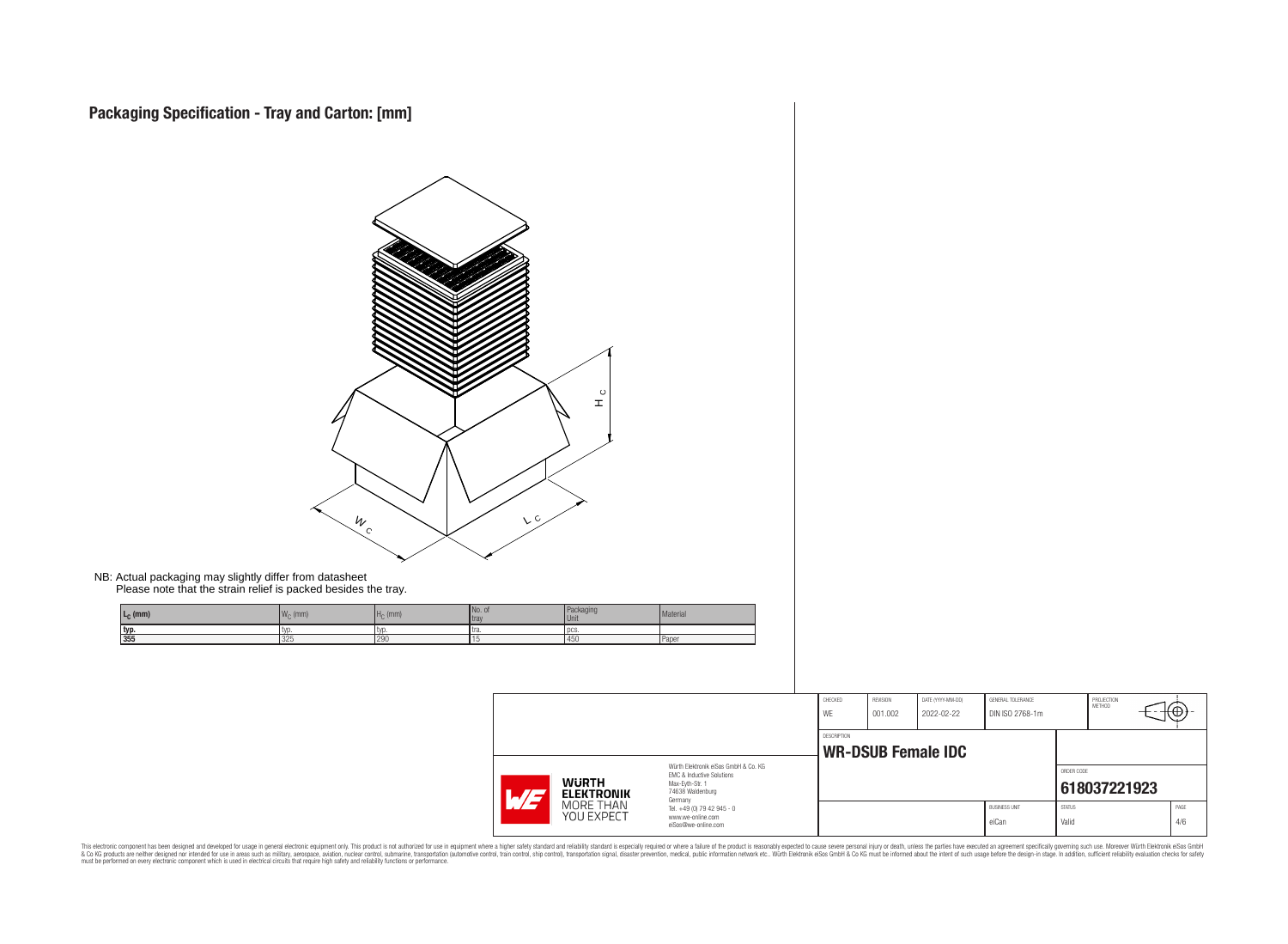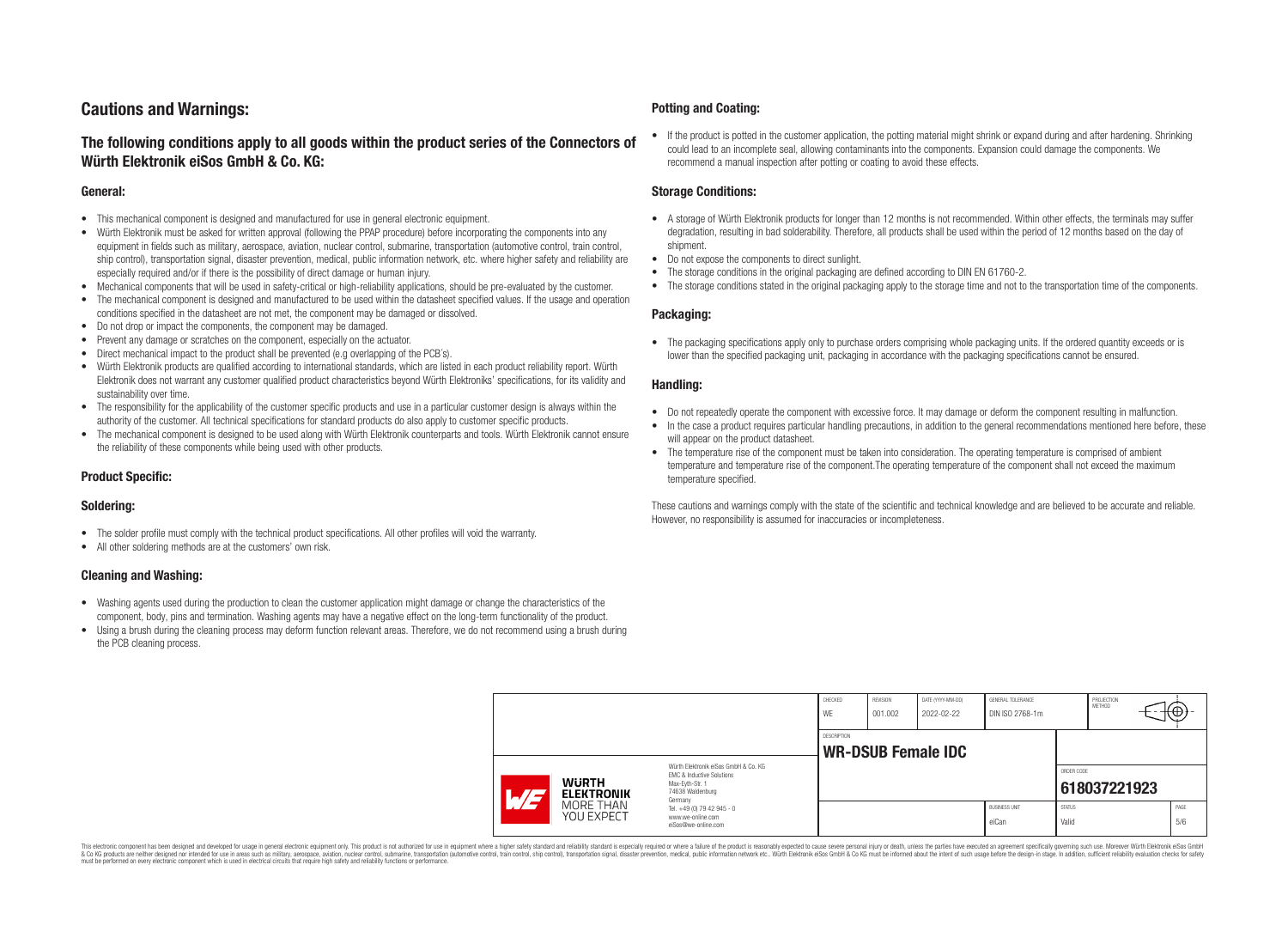# **Cautions and Warnings:**

## **The following conditions apply to all goods within the product series of the Connectors of Würth Elektronik eiSos GmbH & Co. KG:**

#### **General:**

- This mechanical component is designed and manufactured for use in general electronic equipment.
- Würth Elektronik must be asked for written approval (following the PPAP procedure) before incorporating the components into any equipment in fields such as military, aerospace, aviation, nuclear control, submarine, transportation (automotive control, train control, ship control), transportation signal, disaster prevention, medical, public information network, etc. where higher safety and reliability are especially required and/or if there is the possibility of direct damage or human injury.
- Mechanical components that will be used in safety-critical or high-reliability applications, should be pre-evaluated by the customer.
- The mechanical component is designed and manufactured to be used within the datasheet specified values. If the usage and operation conditions specified in the datasheet are not met, the component may be damaged or dissolved.
- Do not drop or impact the components, the component may be damaged.
- Prevent any damage or scratches on the component, especially on the actuator.
- Direct mechanical impact to the product shall be prevented (e.g overlapping of the PCB's).
- Würth Elektronik products are qualified according to international standards, which are listed in each product reliability report. Würth Elektronik does not warrant any customer qualified product characteristics beyond Würth Elektroniks' specifications, for its validity and sustainability over time.
- The responsibility for the applicability of the customer specific products and use in a particular customer design is always within the authority of the customer. All technical specifications for standard products do also apply to customer specific products.
- The mechanical component is designed to be used along with Würth Elektronik counterparts and tools. Würth Elektronik cannot ensure the reliability of these components while being used with other products.

### **Product Specific:**

#### **Soldering:**

- The solder profile must comply with the technical product specifications. All other profiles will void the warranty.
- All other soldering methods are at the customers' own risk.

#### **Cleaning and Washing:**

- Washing agents used during the production to clean the customer application might damage or change the characteristics of the component, body, pins and termination. Washing agents may have a negative effect on the long-term functionality of the product.
- Using a brush during the cleaning process may deform function relevant areas. Therefore, we do not recommend using a brush during the PCB cleaning process.

#### **Potting and Coating:**

• If the product is potted in the customer application, the potting material might shrink or expand during and after hardening. Shrinking could lead to an incomplete seal, allowing contaminants into the components. Expansion could damage the components. We recommend a manual inspection after potting or coating to avoid these effects.

#### **Storage Conditions:**

- A storage of Würth Elektronik products for longer than 12 months is not recommended. Within other effects, the terminals may suffer degradation, resulting in bad solderability. Therefore, all products shall be used within the period of 12 months based on the day of shipment.
- Do not expose the components to direct sunlight.
- The storage conditions in the original packaging are defined according to DIN EN 61760-2.
- The storage conditions stated in the original packaging apply to the storage time and not to the transportation time of the components.

#### **Packaging:**

• The packaging specifications apply only to purchase orders comprising whole packaging units. If the ordered quantity exceeds or is lower than the specified packaging unit, packaging in accordance with the packaging specifications cannot be ensured.

#### **Handling:**

- Do not repeatedly operate the component with excessive force. It may damage or deform the component resulting in malfunction.
- In the case a product requires particular handling precautions, in addition to the general recommendations mentioned here before, these will appear on the product datasheet
- The temperature rise of the component must be taken into consideration. The operating temperature is comprised of ambient temperature and temperature rise of the component.The operating temperature of the component shall not exceed the maximum temperature specified.

These cautions and warnings comply with the state of the scientific and technical knowledge and are believed to be accurate and reliable. However, no responsibility is assumed for inaccuracies or incompleteness.

|                                                                                                                                                                           |                         |                                                                                   | CHECKED<br>WE      | <b>REVISION</b><br>001.002 | DATE (YYYY-MM-DD)<br>2022-02-22 | GENERAL TOLERANCE<br>DIN ISO 2768-1m |                        | PROJECTION<br>METHOD | ₩           |
|---------------------------------------------------------------------------------------------------------------------------------------------------------------------------|-------------------------|-----------------------------------------------------------------------------------|--------------------|----------------------------|---------------------------------|--------------------------------------|------------------------|----------------------|-------------|
|                                                                                                                                                                           |                         |                                                                                   | <b>DESCRIPTION</b> |                            | <b>WR-DSUB Female IDC</b>       |                                      |                        |                      |             |
| Würth Elektronik eiSos GmbH & Co. KG<br>EMC & Inductive Solutions<br><b>WURTH</b><br>Max-Eyth-Str. 1<br>74638 Waldenburg<br><b>ELEKTRONIK</b><br>$\overline{\phantom{0}}$ |                         |                                                                                   |                    |                            |                                 | ORDER CODE                           | 618037221923           |                      |             |
|                                                                                                                                                                           | MORE THAN<br>YOU EXPECT | Germany<br>Tel. +49 (0) 79 42 945 - 0<br>www.we-online.com<br>eiSos@we-online.com |                    |                            |                                 | <b>BUSINESS UNIT</b><br>eiCan        | <b>STATUS</b><br>Valid |                      | PAGE<br>5/6 |

This electronic component has been designed and developed for usage in general electronic equipment only. This product is not authorized for use in equipment where a higher safety standard and reliability standard si espec & Ook product a label and the membed of the seasuch as marked and as which such a membed and the such assume that income in the seasuch and the simulation and the such assume that include to the such a membed and the such